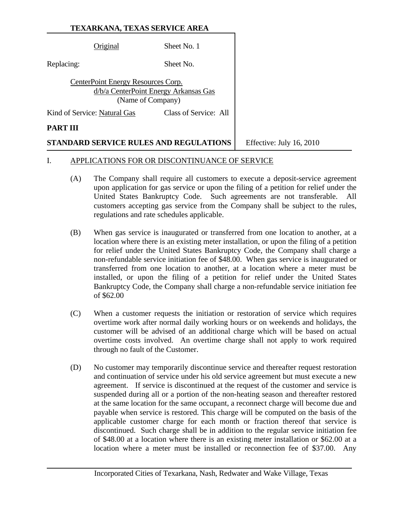|                                                                                                  | Original                     | Sheet No. 1           |
|--------------------------------------------------------------------------------------------------|------------------------------|-----------------------|
| Replacing:                                                                                       |                              | Sheet No.             |
| CenterPoint Energy Resources Corp.<br>d/b/a CenterPoint Energy Arkansas Gas<br>(Name of Company) |                              |                       |
|                                                                                                  | Kind of Service: Natural Gas | Class of Service: All |
| PART III                                                                                         |                              |                       |
|                                                                                                  |                              |                       |

**STANDARD SERVICE RULES AND REGULATIONS** Feffective: July 16, 2010

#### I. APPLICATIONS FOR OR DISCONTINUANCE OF SERVICE

- (A) The Company shall require all customers to execute a deposit-service agreement upon application for gas service or upon the filing of a petition for relief under the United States Bankruptcy Code. Such agreements are not transferable. All customers accepting gas service from the Company shall be subject to the rules, regulations and rate schedules applicable.
- (B) When gas service is inaugurated or transferred from one location to another, at a location where there is an existing meter installation, or upon the filing of a petition for relief under the United States Bankruptcy Code, the Company shall charge a non-refundable service initiation fee of \$48.00. When gas service is inaugurated or transferred from one location to another, at a location where a meter must be installed, or upon the filing of a petition for relief under the United States Bankruptcy Code, the Company shall charge a non-refundable service initiation fee of \$62.00
- (C) When a customer requests the initiation or restoration of service which requires overtime work after normal daily working hours or on weekends and holidays, the customer will be advised of an additional charge which will be based on actual overtime costs involved. An overtime charge shall not apply to work required through no fault of the Customer.
- (D) No customer may temporarily discontinue service and thereafter request restoration and continuation of service under his old service agreement but must execute a new agreement. If service is discontinued at the request of the customer and service is suspended during all or a portion of the non-heating season and thereafter restored at the same location for the same occupant, a reconnect charge will become due and payable when service is restored. This charge will be computed on the basis of the applicable customer charge for each month or fraction thereof that service is discontinued. Such charge shall be in addition to the regular service initiation fee of \$48.00 at a location where there is an existing meter installation or \$62.00 at a location where a meter must be installed or reconnection fee of \$37.00. Any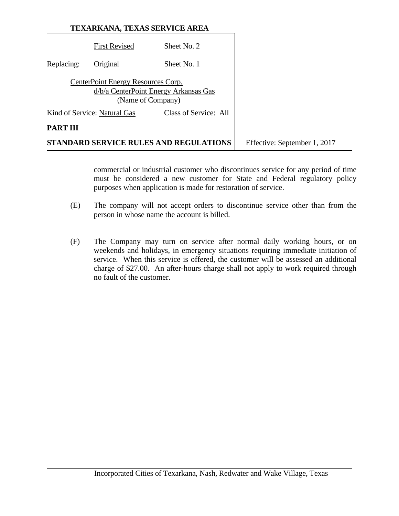| <b>TEXARKANA, TEXAS SERVICE AREA</b> |  |
|--------------------------------------|--|
|                                      |  |

|            |                                                         | STANDARD SERVICE RULES AND REGULATIONS | Effective: September 1, 2017 |
|------------|---------------------------------------------------------|----------------------------------------|------------------------------|
| PART III   |                                                         |                                        |                              |
|            | Kind of Service: Natural Gas                            | Class of Service: All                  |                              |
|            | CenterPoint Energy Resources Corp.<br>(Name of Company) | d/b/a CenterPoint Energy Arkansas Gas  |                              |
| Replacing: | Original                                                | Sheet No. 1                            |                              |
|            | <b>First Revised</b>                                    | Sheet No. 2                            |                              |

 commercial or industrial customer who discontinues service for any period of time must be considered a new customer for State and Federal regulatory policy purposes when application is made for restoration of service.

- (E) The company will not accept orders to discontinue service other than from the person in whose name the account is billed.
- (F) The Company may turn on service after normal daily working hours, or on weekends and holidays, in emergency situations requiring immediate initiation of service. When this service is offered, the customer will be assessed an additional charge of \$27.00. An after-hours charge shall not apply to work required through no fault of the customer.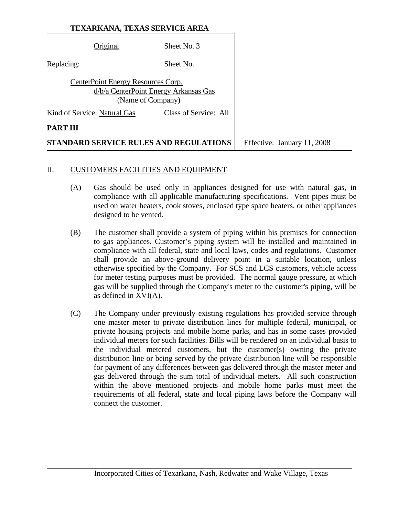|                                                                                                  | Original | Sheet No. 3                            |                             |
|--------------------------------------------------------------------------------------------------|----------|----------------------------------------|-----------------------------|
| Replacing:                                                                                       |          | Sheet No.                              |                             |
| CenterPoint Energy Resources Corp.<br>d/b/a CenterPoint Energy Arkansas Gas<br>(Name of Company) |          |                                        |                             |
| Kind of Service: Natural Gas<br>Class of Service: All                                            |          |                                        |                             |
| PART III                                                                                         |          |                                        |                             |
|                                                                                                  |          | STANDARD SERVICE RULES AND REGULATIONS | Effective: January 11, 2008 |

#### II. CUSTOMERS FACILITIES AND EQUIPMENT

- (A) Gas should be used only in appliances designed for use with natural gas, in compliance with all applicable manufacturing specifications. Vent pipes must be used on water heaters, cook stoves, enclosed type space heaters, or other appliances designed to be vented.
- (B) The customer shall provide a system of piping within his premises for connection to gas appliances. Customer's piping system will be installed and maintained in compliance with all federal, state and local laws, codes and regulations. Customer shall provide an above-ground delivery point in a suitable location, unless otherwise specified by the Company. For SCS and LCS customers, vehicle access for meter testing purposes must be provided. The normal gauge pressure**,** at which gas will be supplied through the Company's meter to the customer's piping, will be as defined in XVI(A).
- (C) The Company under previously existing regulations has provided service through one master meter to private distribution lines for multiple federal, municipal, or private housing projects and mobile home parks, and has in some cases provided individual meters for such facilities. Bills will be rendered on an individual basis to the individual metered customers, but the customer(s) owning the private distribution line or being served by the private distribution line will be responsible for payment of any differences between gas delivered through the master meter and gas delivered through the sum total of individual meters. All such construction within the above mentioned projects and mobile home parks must meet the requirements of all federal, state and local piping laws before the Company will connect the customer.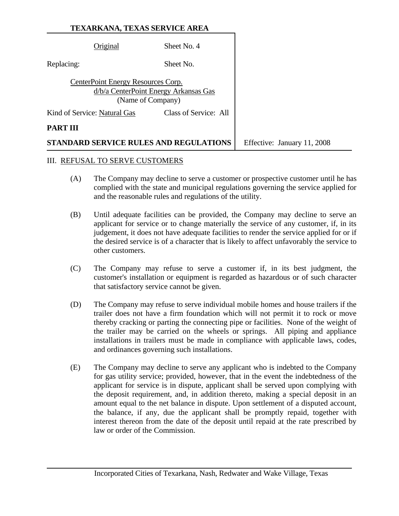|                                                                                                  | Original                     | Sheet No. 4                 |  |
|--------------------------------------------------------------------------------------------------|------------------------------|-----------------------------|--|
| Replacing:                                                                                       |                              | Sheet No.                   |  |
| CenterPoint Energy Resources Corp.<br>d/b/a CenterPoint Energy Arkansas Gas<br>(Name of Company) |                              |                             |  |
|                                                                                                  | Kind of Service: Natural Gas | Class of Service: All       |  |
| PART III                                                                                         |                              |                             |  |
| STANDARD SERVICE RULES AND REGULATIONS                                                           |                              | Effective: January 11, 2008 |  |

#### III. REFUSAL TO SERVE CUSTOMERS

- (A) The Company may decline to serve a customer or prospective customer until he has complied with the state and municipal regulations governing the service applied for and the reasonable rules and regulations of the utility.
- (B) Until adequate facilities can be provided, the Company may decline to serve an applicant for service or to change materially the service of any customer, if, in its judgement, it does not have adequate facilities to render the service applied for or if the desired service is of a character that is likely to affect unfavorably the service to other customers.
- (C) The Company may refuse to serve a customer if, in its best judgment, the customer's installation or equipment is regarded as hazardous or of such character that satisfactory service cannot be given.
- (D) The Company may refuse to serve individual mobile homes and house trailers if the trailer does not have a firm foundation which will not permit it to rock or move thereby cracking or parting the connecting pipe or facilities. None of the weight of the trailer may be carried on the wheels or springs. All piping and appliance installations in trailers must be made in compliance with applicable laws, codes, and ordinances governing such installations.
- (E) The Company may decline to serve any applicant who is indebted to the Company for gas utility service; provided, however, that in the event the indebtedness of the applicant for service is in dispute, applicant shall be served upon complying with the deposit requirement, and, in addition thereto, making a special deposit in an amount equal to the net balance in dispute. Upon settlement of a disputed account, the balance, if any, due the applicant shall be promptly repaid, together with interest thereon from the date of the deposit until repaid at the rate prescribed by law or order of the Commission.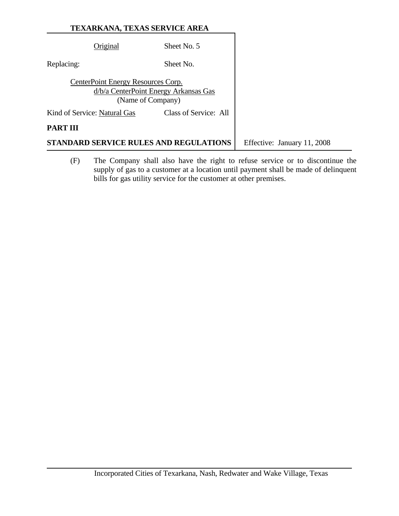| <b>TEXARKANA, TEXAS SERVICE AREA</b> |  |
|--------------------------------------|--|
|--------------------------------------|--|

|                                                                                                  | Original | Sheet No. 5                 |  |
|--------------------------------------------------------------------------------------------------|----------|-----------------------------|--|
| Replacing:                                                                                       |          | Sheet No.                   |  |
| CenterPoint Energy Resources Corp.<br>d/b/a CenterPoint Energy Arkansas Gas<br>(Name of Company) |          |                             |  |
| Class of Service: All<br>Kind of Service: Natural Gas                                            |          |                             |  |
| PART III                                                                                         |          |                             |  |
| STANDARD SERVICE RULES AND REGULATIONS                                                           |          | Effective: January 11, 2008 |  |

(F) The Company shall also have the right to refuse service or to discontinue the supply of gas to a customer at a location until payment shall be made of delinquent bills for gas utility service for the customer at other premises.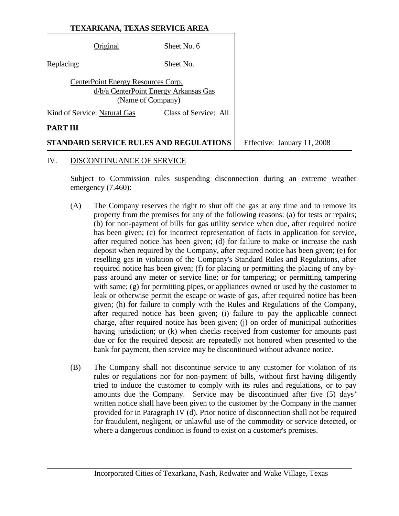|                                                                                                  | Original                     | Sheet No. 6                 |  |
|--------------------------------------------------------------------------------------------------|------------------------------|-----------------------------|--|
| Replacing:                                                                                       |                              | Sheet No.                   |  |
| CenterPoint Energy Resources Corp.<br>d/b/a CenterPoint Energy Arkansas Gas<br>(Name of Company) |                              |                             |  |
|                                                                                                  | Kind of Service: Natural Gas | Class of Service: All       |  |
| PART III                                                                                         |                              |                             |  |
| STANDARD SERVICE RULES AND REGULATIONS                                                           |                              | Effective: January 11, 2008 |  |

#### IV. DISCONTINUANCE OF SERVICE

Subject to Commission rules suspending disconnection during an extreme weather emergency (7.460):

- (A) The Company reserves the right to shut off the gas at any time and to remove its property from the premises for any of the following reasons: (a) for tests or repairs; (b) for non-payment of bills for gas utility service when due, after required notice has been given; (c) for incorrect representation of facts in application for service, after required notice has been given; (d) for failure to make or increase the cash deposit when required by the Company, after required notice has been given; (e) for reselling gas in violation of the Company's Standard Rules and Regulations, after required notice has been given; (f) for placing or permitting the placing of any bypass around any meter or service line; or for tampering; or permitting tampering with same; (g) for permitting pipes, or appliances owned or used by the customer to leak or otherwise permit the escape or waste of gas, after required notice has been given; (h) for failure to comply with the Rules and Regulations of the Company, after required notice has been given; (i) failure to pay the applicable connect charge, after required notice has been given; (j) on order of municipal authorities having jurisdiction; or (k) when checks received from customer for amounts past due or for the required deposit are repeatedly not honored when presented to the bank for payment, then service may be discontinued without advance notice.
- (B) The Company shall not discontinue service to any customer for violation of its rules or regulations nor for non-payment of bills, without first having diligently tried to induce the customer to comply with its rules and regulations, or to pay amounts due the Company. Service may be discontinued after five (5) days' written notice shall have been given to the customer by the Company in the manner provided for in Paragraph IV (d). Prior notice of disconnection shall not be required for fraudulent, negligent, or unlawful use of the commodity or service detected, or where a dangerous condition is found to exist on a customer's premises.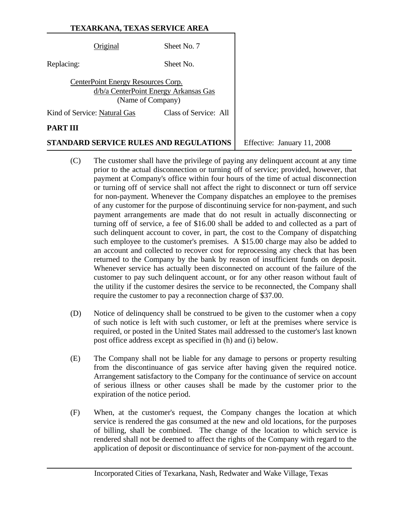| Original                           | Sheet No. 7                                                |
|------------------------------------|------------------------------------------------------------|
| Replacing:                         | Sheet No.                                                  |
| CenterPoint Energy Resources Corp. | d/b/a CenterPoint Energy Arkansas Gas<br>(Name of Company) |
| Kind of Service: Natural Gas       | Class of Service: All                                      |
| PART III                           |                                                            |

**STANDARD SERVICE RULES AND REGULATIONS** Feffective: January 11, 2008

- (C) The customer shall have the privilege of paying any delinquent account at any time prior to the actual disconnection or turning off of service; provided, however, that payment at Company's office within four hours of the time of actual disconnection or turning off of service shall not affect the right to disconnect or turn off service for non-payment. Whenever the Company dispatches an employee to the premises of any customer for the purpose of discontinuing service for non-payment, and such payment arrangements are made that do not result in actually disconnecting or turning off of service, a fee of \$16.00 shall be added to and collected as a part of such delinquent account to cover, in part, the cost to the Company of dispatching such employee to the customer's premises. A \$15.00 charge may also be added to an account and collected to recover cost for reprocessing any check that has been returned to the Company by the bank by reason of insufficient funds on deposit. Whenever service has actually been disconnected on account of the failure of the customer to pay such delinquent account, or for any other reason without fault of the utility if the customer desires the service to be reconnected, the Company shall require the customer to pay a reconnection charge of \$37.00.
- (D) Notice of delinquency shall be construed to be given to the customer when a copy of such notice is left with such customer, or left at the premises where service is required, or posted in the United States mail addressed to the customer's last known post office address except as specified in (h) and (i) below.
- (E) The Company shall not be liable for any damage to persons or property resulting from the discontinuance of gas service after having given the required notice. Arrangement satisfactory to the Company for the continuance of service on account of serious illness or other causes shall be made by the customer prior to the expiration of the notice period.
- (F) When, at the customer's request, the Company changes the location at which service is rendered the gas consumed at the new and old locations, for the purposes of billing, shall be combined. The change of the location to which service is rendered shall not be deemed to affect the rights of the Company with regard to the application of deposit or discontinuance of service for non-payment of the account.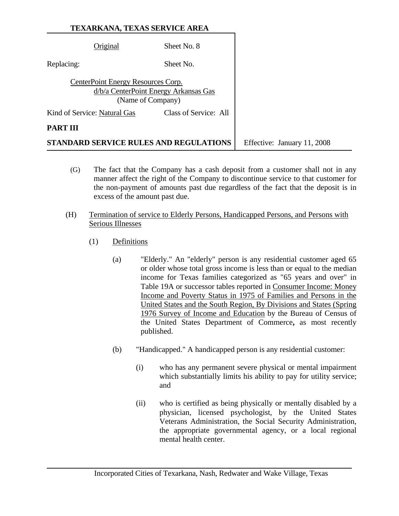| <b>TEXARKANA, TEXAS SERVICE AREA</b> |  |
|--------------------------------------|--|
|--------------------------------------|--|

|                                                                                                  | Original                     | Sheet No. 8                            |                             |
|--------------------------------------------------------------------------------------------------|------------------------------|----------------------------------------|-----------------------------|
| Replacing:                                                                                       |                              | Sheet No.                              |                             |
| CenterPoint Energy Resources Corp.<br>d/b/a CenterPoint Energy Arkansas Gas<br>(Name of Company) |                              |                                        |                             |
|                                                                                                  | Kind of Service: Natural Gas | Class of Service: All                  |                             |
| PART III                                                                                         |                              |                                        |                             |
|                                                                                                  |                              | STANDARD SERVICE RULES AND REGULATIONS | Effective: January 11, 2008 |

- (G) The fact that the Company has a cash deposit from a customer shall not in any manner affect the right of the Company to discontinue service to that customer for the non-payment of amounts past due regardless of the fact that the deposit is in excess of the amount past due.
- (H) Termination of service to Elderly Persons, Handicapped Persons, and Persons with Serious Illnesses
	- (1) Definitions
		- (a) "Elderly." An "elderly" person is any residential customer aged 65 or older whose total gross income is less than or equal to the median income for Texas families categorized as "65 years and over" in Table 19A or successor tables reported in Consumer Income: Money Income and Poverty Status in 1975 of Families and Persons in the United States and the South Region, By Divisions and States (Spring 1976 Survey of Income and Education by the Bureau of Census of the United States Department of Commerce**,** as most recently published.
		- (b) "Handicapped." A handicapped person is any residential customer:
			- (i) who has any permanent severe physical or mental impairment which substantially limits his ability to pay for utility service; and
			- (ii) who is certified as being physically or mentally disabled by a physician, licensed psychologist, by the United States Veterans Administration, the Social Security Administration, the appropriate governmental agency, or a local regional mental health center.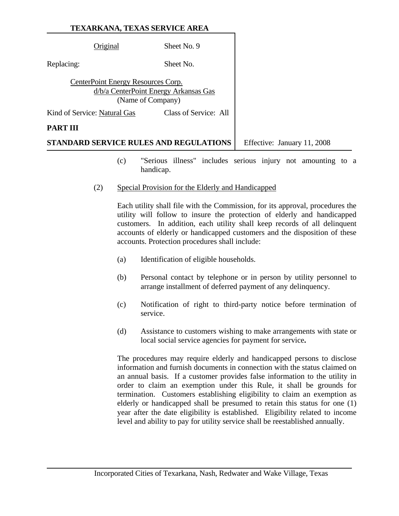| <b>PART III</b>                                                                                  |             |  |
|--------------------------------------------------------------------------------------------------|-------------|--|
| Class of Service: All<br>Kind of Service: Natural Gas                                            |             |  |
| CenterPoint Energy Resources Corp.<br>d/b/a CenterPoint Energy Arkansas Gas<br>(Name of Company) |             |  |
| Replacing:                                                                                       | Sheet No.   |  |
| Original                                                                                         | Sheet No. 9 |  |
|                                                                                                  |             |  |

- (c) "Serious illness" includes serious injury not amounting to a handicap.
- (2) Special Provision for the Elderly and Handicapped

Each utility shall file with the Commission, for its approval, procedures the utility will follow to insure the protection of elderly and handicapped customers. In addition, each utility shall keep records of all delinquent accounts of elderly or handicapped customers and the disposition of these accounts. Protection procedures shall include:

- (a) Identification of eligible households.
- (b) Personal contact by telephone or in person by utility personnel to arrange installment of deferred payment of any delinquency.
- (c) Notification of right to third-party notice before termination of service.
- (d) Assistance to customers wishing to make arrangements with state or local social service agencies for payment for service**.**

The procedures may require elderly and handicapped persons to disclose information and furnish documents in connection with the status claimed on an annual basis. If a customer provides false information to the utility in order to claim an exemption under this Rule, it shall be grounds for termination. Customers establishing eligibility to claim an exemption as elderly or handicapped shall be presumed to retain this status for one (1) year after the date eligibility is established. Eligibility related to income level and ability to pay for utility service shall be reestablished annually.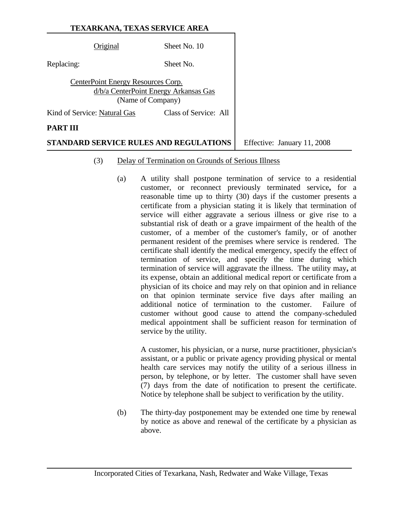| Original                                                | Sheet No. 10                          |  |
|---------------------------------------------------------|---------------------------------------|--|
| Replacing:                                              | Sheet No.                             |  |
| CenterPoint Energy Resources Corp.<br>(Name of Company) | d/b/a CenterPoint Energy Arkansas Gas |  |
| Kind of Service: Natural Gas                            | Class of Service: All                 |  |
| PART III                                                |                                       |  |

**STANDARD SERVICE RULES AND REGULATIONS** Effective: January 11, 2008

#### (3) Delay of Termination on Grounds of Serious Illness

(a) A utility shall postpone termination of service to a residential customer, or reconnect previously terminated service**,** for a reasonable time up to thirty (30) days if the customer presents a certificate from a physician stating it is likely that termination of service will either aggravate a serious illness or give rise to a substantial risk of death or a grave impairment of the health of the customer, of a member of the customer's family, or of another permanent resident of the premises where service is rendered. The certificate shall identify the medical emergency, specify the effect of termination of service, and specify the time during which termination of service will aggravate the illness. The utility may**,** at its expense, obtain an additional medical report or certificate from a physician of its choice and may rely on that opinion and in reliance on that opinion terminate service five days after mailing an additional notice of termination to the customer. Failure of customer without good cause to attend the company-scheduled medical appointment shall be sufficient reason for termination of service by the utility.

A customer, his physician, or a nurse, nurse practitioner, physician's assistant, or a public or private agency providing physical or mental health care services may notify the utility of a serious illness in person, by telephone, or by letter. The customer shall have seven (7) days from the date of notification to present the certificate. Notice by telephone shall be subject to verification by the utility.

(b) The thirty-day postponement may be extended one time by renewal by notice as above and renewal of the certificate by a physician as above.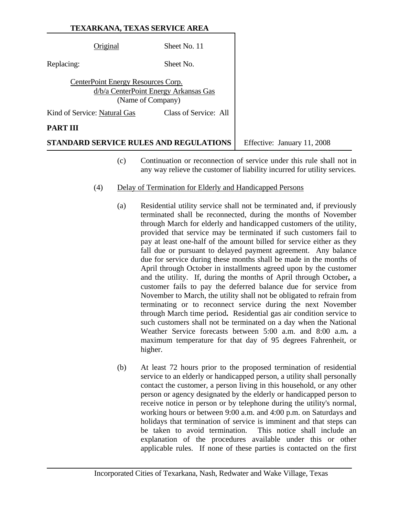|            | Original                           | Sheet No. 11                                               |                             |
|------------|------------------------------------|------------------------------------------------------------|-----------------------------|
| Replacing: |                                    | Sheet No.                                                  |                             |
|            | CenterPoint Energy Resources Corp. | d/b/a CenterPoint Energy Arkansas Gas<br>(Name of Company) |                             |
|            | Kind of Service: Natural Gas       | Class of Service: All                                      |                             |
| PART III   |                                    |                                                            |                             |
|            |                                    | STANDARD SERVICE RULES AND REGULATIONS                     | Effective: January 11, 2008 |

- (c) Continuation or reconnection of service under this rule shall not in any way relieve the customer of liability incurred for utility services.
- (4) Delay of Termination for Elderly and Handicapped Persons
	- (a) Residential utility service shall not be terminated and, if previously terminated shall be reconnected, during the months of November through March for elderly and handicapped customers of the utility, provided that service may be terminated if such customers fail to pay at least one-half of the amount billed for service either as they fall due or pursuant to delayed payment agreement. Any balance due for service during these months shall be made in the months of April through October in installments agreed upon by the customer and the utility. If, during the months of April through October**,** a customer fails to pay the deferred balance due for service from November to March, the utility shall not be obligated to refrain from terminating or to reconnect service during the next November through March time period**.** Residential gas air condition service to such customers shall not be terminated on a day when the National Weather Service forecasts between 5:00 a.m. and 8:00 a.m**.** a maximum temperature for that day of 95 degrees Fahrenheit, or higher.
	- (b) At least 72 hours prior to the proposed termination of residential service to an elderly or handicapped person, a utility shall personally contact the customer, a person living in this household, or any other person or agency designated by the elderly or handicapped person to receive notice in person or by telephone during the utility's normal, working hours or between 9:00 a.m. and 4:00 p.m. on Saturdays and holidays that termination of service is imminent and that steps can be taken to avoid termination. This notice shall include an explanation of the procedures available under this or other applicable rules. If none of these parties is contacted on the first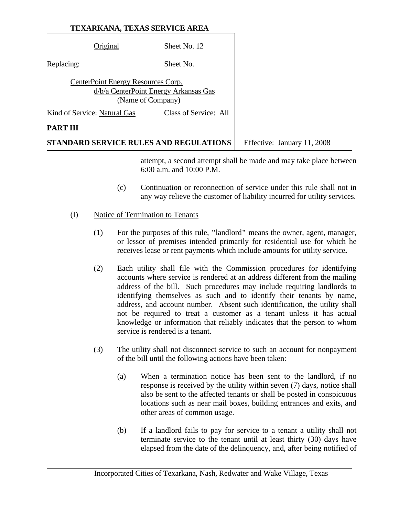|            | Original                           | Sheet No. 12                                               |                             |
|------------|------------------------------------|------------------------------------------------------------|-----------------------------|
| Replacing: |                                    | Sheet No.                                                  |                             |
|            | CenterPoint Energy Resources Corp. | d/b/a CenterPoint Energy Arkansas Gas<br>(Name of Company) |                             |
|            | Kind of Service: Natural Gas       | Class of Service: All                                      |                             |
| PART III   |                                    |                                                            |                             |
|            |                                    | STANDARD SERVICE RULES AND REGULATIONS                     | Effective: January 11, 2008 |

6:00 a.m. and 10:00 P.M.

attempt, a second attempt shall be made and may take place between

- (c) Continuation or reconnection of service under this rule shall not in any way relieve the customer of liability incurred for utility services.
- (I) Notice of Termination to Tenants
	- (1) For the purposes of this rule, **"**landlord**"** means the owner, agent, manager, or lessor of premises intended primarily for residential use for which he receives lease or rent payments which include amounts for utility service**.**
	- (2) Each utility shall file with the Commission procedures for identifying accounts where service is rendered at an address different from the mailing address of the bill. Such procedures may include requiring landlords to identifying themselves as such and to identify their tenants by name, address, and account number. Absent such identification, the utility shall not be required to treat a customer as a tenant unless it has actual knowledge or information that reliably indicates that the person to whom service is rendered is a tenant.
	- (3) The utility shall not disconnect service to such an account for nonpayment of the bill until the following actions have been taken:
		- (a) When a termination notice has been sent to the landlord, if no response is received by the utility within seven (7) days, notice shall also be sent to the affected tenants or shall be posted in conspicuous locations such as near mail boxes, building entrances and exits, and other areas of common usage.
		- (b) If a landlord fails to pay for service to a tenant a utility shall not terminate service to the tenant until at least thirty (30) days have elapsed from the date of the delinquency, and, after being notified of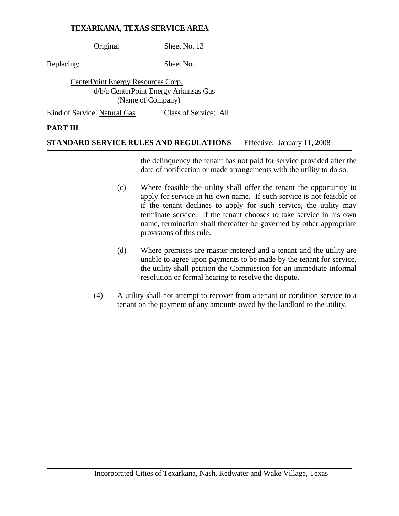|                 | Original                           | Sheet No. 13                                               |                             |
|-----------------|------------------------------------|------------------------------------------------------------|-----------------------------|
| Replacing:      |                                    | Sheet No.                                                  |                             |
|                 | CenterPoint Energy Resources Corp. | d/b/a CenterPoint Energy Arkansas Gas<br>(Name of Company) |                             |
|                 | Kind of Service: Natural Gas       | Class of Service: All                                      |                             |
| <b>PART III</b> |                                    |                                                            |                             |
|                 |                                    | <b>STANDARD SERVICE RULES AND REGULATIONS</b>              | Effective: January 11, 2008 |

the delinquency the tenant has not paid for service provided after the date of notification or made arrangements with the utility to do so.

- (c) Where feasible the utility shall offer the tenant the opportunity to apply for service in his own name. If such service is not feasible or if the tenant declines to apply for such service**,** the utility may terminate service. If the tenant chooses to take service in his own name**,** termination shall thereafter be governed by other appropriate provisions of this rule.
- (d) Where premises are master-metered and a tenant and the utility are unable to agree upon payments to be made by the tenant for service, the utility shall petition the Commission for an immediate informal resolution or formal hearing to resolve the dispute.
- (4) A utility shall not attempt to recover from a tenant or condition service to a tenant on the payment of any amounts owed by the landlord to the utility.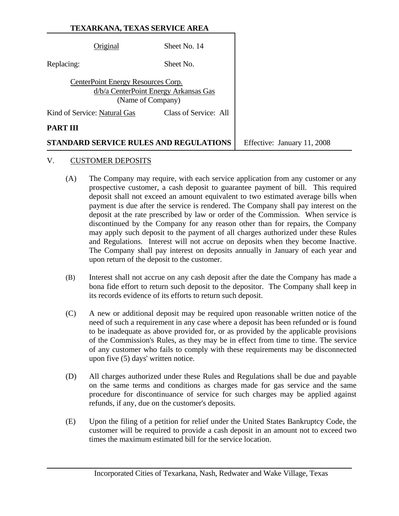|            | Original                           | Sheet No. 14                                               |                             |
|------------|------------------------------------|------------------------------------------------------------|-----------------------------|
| Replacing: |                                    | Sheet No.                                                  |                             |
|            | CenterPoint Energy Resources Corp. | d/b/a CenterPoint Energy Arkansas Gas<br>(Name of Company) |                             |
|            | Kind of Service: Natural Gas       | Class of Service: All                                      |                             |
| PART III   |                                    |                                                            |                             |
|            |                                    | STANDARD SERVICE RULES AND REGULATIONS                     | Effective: January 11, 2008 |

#### V. CUSTOMER DEPOSITS

- (A) The Company may require, with each service application from any customer or any prospective customer, a cash deposit to guarantee payment of bill. This required deposit shall not exceed an amount equivalent to two estimated average bills when payment is due after the service is rendered. The Company shall pay interest on the deposit at the rate prescribed by law or order of the Commission. When service is discontinued by the Company for any reason other than for repairs, the Company may apply such deposit to the payment of all charges authorized under these Rules and Regulations. Interest will not accrue on deposits when they become Inactive. The Company shall pay interest on deposits annually in January of each year and upon return of the deposit to the customer.
- (B) Interest shall not accrue on any cash deposit after the date the Company has made a bona fide effort to return such deposit to the depositor. The Company shall keep in its records evidence of its efforts to return such deposit.
- (C) A new or additional deposit may be required upon reasonable written notice of the need of such a requirement in any case where a deposit has been refunded or is found to be inadequate as above provided for, or as provided by the applicable provisions of the Commission's Rules, as they may be in effect from time to time. The service of any customer who fails to comply with these requirements may be disconnected upon five (5) days' written notice.
- (D) All charges authorized under these Rules and Regulations shall be due and payable on the same terms and conditions as charges made for gas service and the same procedure for discontinuance of service for such charges may be applied against refunds, if any, due on the customer's deposits.
- (E) Upon the filing of a petition for relief under the United States Bankruptcy Code, the customer will be required to provide a cash deposit in an amount not to exceed two times the maximum estimated bill for the service location.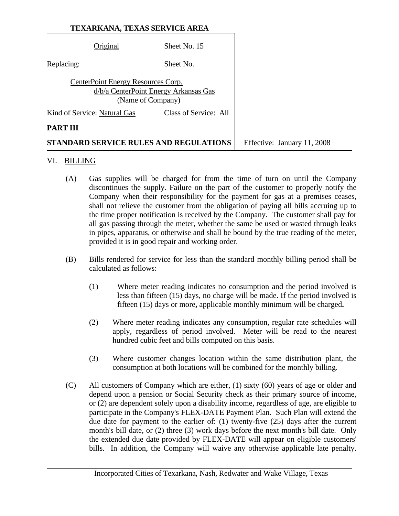|            | Original                           | Sheet No. 15                                               |                             |
|------------|------------------------------------|------------------------------------------------------------|-----------------------------|
| Replacing: |                                    | Sheet No.                                                  |                             |
|            | CenterPoint Energy Resources Corp. | d/b/a CenterPoint Energy Arkansas Gas<br>(Name of Company) |                             |
|            | Kind of Service: Natural Gas       | Class of Service: All                                      |                             |
| PART III   |                                    |                                                            |                             |
|            |                                    | STANDARD SERVICE RULES AND REGULATIONS                     | Effective: January 11, 2008 |

#### VI. BILLING

- (A) Gas supplies will be charged for from the time of turn on until the Company discontinues the supply. Failure on the part of the customer to properly notify the Company when their responsibility for the payment for gas at a premises ceases, shall not relieve the customer from the obligation of paying all bills accruing up to the time proper notification is received by the Company. The customer shall pay for all gas passing through the meter, whether the same be used or wasted through leaks in pipes, apparatus, or otherwise and shall be bound by the true reading of the meter, provided it is in good repair and working order.
- (B) Bills rendered for service for less than the standard monthly billing period shall be calculated as follows:
	- (1) Where meter reading indicates no consumption and the period involved is less than fifteen (15) days, no charge will be made. If the period involved is fifteen (15) days or more**,** applicable monthly minimum will be charged**.**
	- (2) Where meter reading indicates any consumption, regular rate schedules will apply, regardless of period involved. Meter will be read to the nearest hundred cubic feet and bills computed on this basis.
	- (3) Where customer changes location within the same distribution plant, the consumption at both locations will be combined for the monthly billing.
- (C) All customers of Company which are either, (1) sixty (60) years of age or older and depend upon a pension or Social Security check as their primary source of income, or (2) are dependent solely upon a disability income, regardless of age, are eligible to participate in the Company's FLEX-DATE Payment Plan. Such Plan will extend the due date for payment to the earlier of: (1) twenty-five (25) days after the current month's bill date, or (2) three (3) work days before the next month's bill date. Only the extended due date provided by FLEX-DATE will appear on eligible customers' bills. In addition, the Company will waive any otherwise applicable late penalty.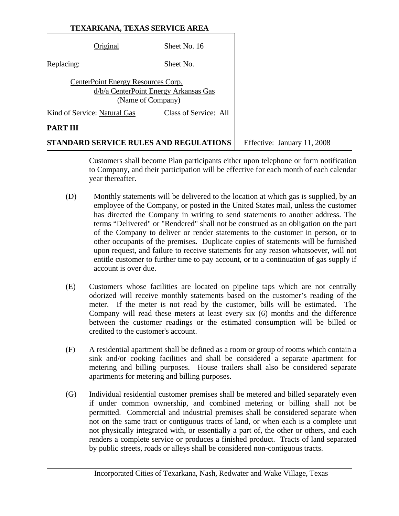|                              |                                    | STANDARD SERVICE RULES AND REGULATIONS                     | Effective: January 11, 2008 |
|------------------------------|------------------------------------|------------------------------------------------------------|-----------------------------|
| PART III                     |                                    |                                                            |                             |
| Kind of Service: Natural Gas |                                    | Class of Service: All                                      |                             |
|                              | CenterPoint Energy Resources Corp. | d/b/a CenterPoint Energy Arkansas Gas<br>(Name of Company) |                             |
| Replacing:                   |                                    | Sheet No.                                                  |                             |
|                              | Driginal                           | Sheet No. 16                                               |                             |
|                              |                                    |                                                            |                             |

Customers shall become Plan participants either upon telephone or form notification to Company, and their participation will be effective for each month of each calendar year thereafter.

- (D) Monthly statements will be delivered to the location at which gas is supplied, by an employee of the Company, or posted in the United States mail, unless the customer has directed the Company in writing to send statements to another address. The terms "Delivered" or "Rendered" shall not be construed as an obligation on the part of the Company to deliver or render statements to the customer in person, or to other occupants of the premises**.** Duplicate copies of statements will be furnished upon request, and failure to receive statements for any reason whatsoever, will not entitle customer to further time to pay account, or to a continuation of gas supply if account is over due.
- (E) Customers whose facilities are located on pipeline taps which are not centrally odorized will receive monthly statements based on the customer's reading of the meter. If the meter is not read by the customer, bills will be estimated. The Company will read these meters at least every six (6) months and the difference between the customer readings or the estimated consumption will be billed or credited to the customer's account.
- (F) A residential apartment shall be defined as a room or group of rooms which contain a sink and/or cooking facilities and shall be considered a separate apartment for metering and billing purposes. House trailers shall also be considered separate apartments for metering and billing purposes.
- (G) Individual residential customer premises shall be metered and billed separately even if under common ownership, and combined metering or billing shall not be permitted. Commercial and industrial premises shall be considered separate when not on the same tract or contiguous tracts of land, or when each is a complete unit not physically integrated with, or essentially a part of, the other or others, and each renders a complete service or produces a finished product. Tracts of land separated by public streets, roads or alleys shall be considered non-contiguous tracts.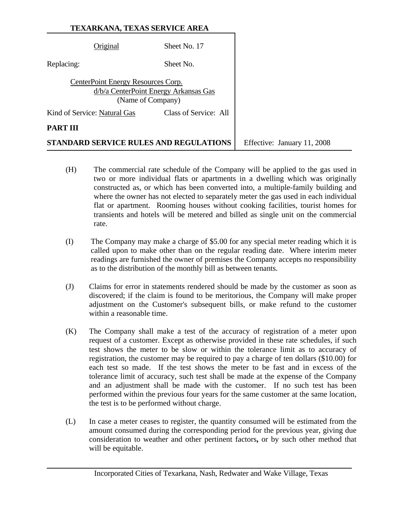| <b>TEXARKANA, TEXAS SERVICE AREA</b> |  |
|--------------------------------------|--|
|--------------------------------------|--|

|            | Original                           | Sheet No. 17                                               |                             |
|------------|------------------------------------|------------------------------------------------------------|-----------------------------|
| Replacing: |                                    | Sheet No.                                                  |                             |
|            | CenterPoint Energy Resources Corp. | d/b/a CenterPoint Energy Arkansas Gas<br>(Name of Company) |                             |
|            | Kind of Service: Natural Gas       | Class of Service: All                                      |                             |
| PART III   |                                    |                                                            |                             |
|            |                                    | STANDARD SERVICE RULES AND REGULATIONS                     | Effective: January 11, 2008 |

- (H) The commercial rate schedule of the Company will be applied to the gas used in two or more individual flats or apartments in a dwelling which was originally constructed as, or which has been converted into, a multiple-family building and where the owner has not elected to separately meter the gas used in each individual flat or apartment. Rooming houses without cooking facilities, tourist homes for transients and hotels will be metered and billed as single unit on the commercial rate.
- (I) The Company may make a charge of \$5.00 for any special meter reading which it is called upon to make other than on the regular reading date. Where interim meter readings are furnished the owner of premises the Company accepts no responsibility as to the distribution of the monthly bill as between tenants.
- (J) Claims for error in statements rendered should be made by the customer as soon as discovered; if the claim is found to be meritorious, the Company will make proper adjustment on the Customer's subsequent bills, or make refund to the customer within a reasonable time.
- (K) The Company shall make a test of the accuracy of registration of a meter upon request of a customer. Except as otherwise provided in these rate schedules, if such test shows the meter to be slow or within the tolerance limit as to accuracy of registration, the customer may be required to pay a charge of ten dollars (\$10.00) for each test so made. If the test shows the meter to be fast and in excess of the tolerance limit of accuracy, such test shall be made at the expense of the Company and an adjustment shall be made with the customer. If no such test has been performed within the previous four years for the same customer at the same location, the test is to be performed without charge.
- (L) In case a meter ceases to register, the quantity consumed will be estimated from the amount consumed during the corresponding period for the previous year, giving due consideration to weather and other pertinent factors**,** or by such other method that will be equitable.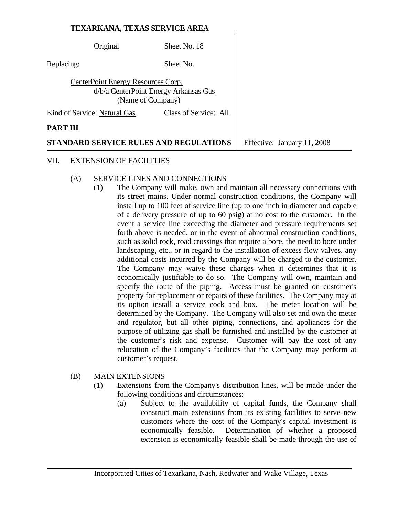Original Sheet No. 18 Replacing: Sheet No. CenterPoint Energy Resources Corp. d/b/a CenterPoint Energy Arkansas Gas (Name of Company) Kind of Service: Natural Gas Class of Service: All

#### **PART III**

**STANDARD SERVICE RULES AND REGULATIONS** Feffective: January 11, 2008

#### VII. EXTENSION OF FACILITIES

#### (A) SERVICE LINES AND CONNECTIONS

 (1) The Company will make, own and maintain all necessary connections with its street mains. Under normal construction conditions, the Company will install up to 100 feet of service line (up to one inch in diameter and capable of a delivery pressure of up to 60 psig) at no cost to the customer. In the event a service line exceeding the diameter and pressure requirements set forth above is needed, or in the event of abnormal construction conditions, such as solid rock, road crossings that require a bore, the need to bore under landscaping, etc., or in regard to the installation of excess flow valves, any additional costs incurred by the Company will be charged to the customer. The Company may waive these charges when it determines that it is economically justifiable to do so. The Company will own, maintain and specify the route of the piping. Access must be granted on customer's property for replacement or repairs of these facilities. The Company may at its option install a service cock and box. The meter location will be determined by the Company. The Company will also set and own the meter and regulator, but all other piping, connections, and appliances for the purpose of utilizing gas shall be furnished and installed by the customer at the customer's risk and expense. Customer will pay the cost of any relocation of the Company's facilities that the Company may perform at customer's request.

# (B) MAIN EXTENSIONS

- (1) Extensions from the Company's distribution lines, will be made under the following conditions and circumstances:
	- (a) Subject to the availability of capital funds, the Company shall construct main extensions from its existing facilities to serve new customers where the cost of the Company's capital investment is economically feasible. Determination of whether a proposed extension is economically feasible shall be made through the use of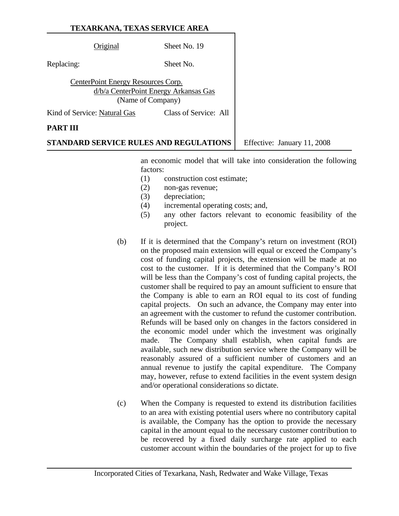Original Sheet No. 19

Replacing: Sheet No.

CenterPoint Energy Resources Corp. d/b/a CenterPoint Energy Arkansas Gas (Name of Company)

Kind of Service: Natural Gas Class of Service: All

#### **PART III**

**STANDARD SERVICE RULES AND REGULATIONS** Feffective: January 11, 2008

an economic model that will take into consideration the following factors:

- (1) construction cost estimate;
- (2) non-gas revenue;
- (3) depreciation;
- (4) incremental operating costs; and,
- (5) any other factors relevant to economic feasibility of the project.
- (b) If it is determined that the Company's return on investment (ROI) on the proposed main extension will equal or exceed the Company's cost of funding capital projects, the extension will be made at no cost to the customer. If it is determined that the Company's ROI will be less than the Company's cost of funding capital projects, the customer shall be required to pay an amount sufficient to ensure that the Company is able to earn an ROI equal to its cost of funding capital projects. On such an advance, the Company may enter into an agreement with the customer to refund the customer contribution. Refunds will be based only on changes in the factors considered in the economic model under which the investment was originally made. The Company shall establish, when capital funds are available, such new distribution service where the Company will be reasonably assured of a sufficient number of customers and an annual revenue to justify the capital expenditure. The Company may, however, refuse to extend facilities in the event system design and/or operational considerations so dictate.
- (c) When the Company is requested to extend its distribution facilities to an area with existing potential users where no contributory capital is available, the Company has the option to provide the necessary capital in the amount equal to the necessary customer contribution to be recovered by a fixed daily surcharge rate applied to each customer account within the boundaries of the project for up to five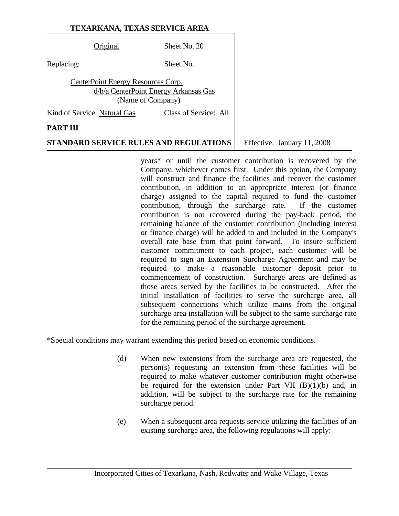Original Sheet No. 20

Replacing: Sheet No.

CenterPoint Energy Resources Corp. d/b/a CenterPoint Energy Arkansas Gas (Name of Company)

Kind of Service: Natural Gas Class of Service: All

### **PART III**

# **STANDARD SERVICE RULES AND REGULATIONS** Feffective: January 11, 2008

years\* or until the customer contribution is recovered by the Company, whichever comes first. Under this option, the Company will construct and finance the facilities and recover the customer contribution, in addition to an appropriate interest (or finance charge) assigned to the capital required to fund the customer contribution, through the surcharge rate. If the customer contribution is not recovered during the pay-back period, the remaining balance of the customer contribution (including interest or finance charge) will be added to and included in the Company's overall rate base from that point forward. To insure sufficient customer commitment to each project, each customer will be required to sign an Extension Surcharge Agreement and may be required to make a reasonable customer deposit prior to commencement of construction. Surcharge areas are defined as those areas served by the facilities to be constructed. After the initial installation of facilities to serve the surcharge area, all subsequent connections which utilize mains from the original surcharge area installation will be subject to the same surcharge rate for the remaining period of the surcharge agreement.

\*Special conditions may warrant extending this period based on economic conditions.

- (d) When new extensions from the surcharge area are requested, the person(s) requesting an extension from these facilities will be required to make whatever customer contribution might otherwise be required for the extension under Part VII  $(B)(1)(b)$  and, in addition, will be subject to the surcharge rate for the remaining surcharge period.
- (e) When a subsequent area requests service utilizing the facilities of an existing surcharge area, the following regulations will apply: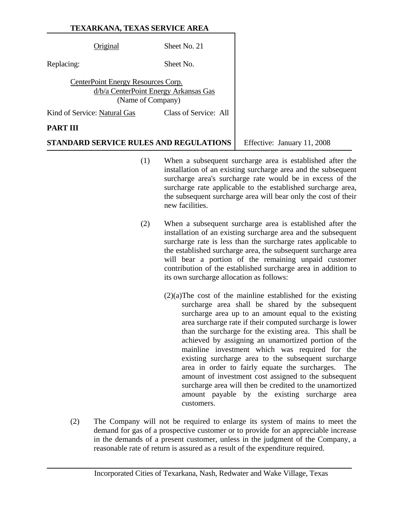| Original                           | Sheet No. 21                                               |  |
|------------------------------------|------------------------------------------------------------|--|
| Replacing:                         | Sheet No.                                                  |  |
| CenterPoint Energy Resources Corp. | d/b/a CenterPoint Energy Arkansas Gas<br>(Name of Company) |  |
| Kind of Service: Natural Gas       | Class of Service: All                                      |  |
| PAR'                               |                                                            |  |

# **STANDARD SERVICE RULES AND REGULATIONS** Effective: January 11, 2008

- (1) When a subsequent surcharge area is established after the installation of an existing surcharge area and the subsequent surcharge area's surcharge rate would be in excess of the surcharge rate applicable to the established surcharge area, the subsequent surcharge area will bear only the cost of their new facilities.
- (2) When a subsequent surcharge area is established after the installation of an existing surcharge area and the subsequent surcharge rate is less than the surcharge rates applicable to the established surcharge area, the subsequent surcharge area will bear a portion of the remaining unpaid customer contribution of the established surcharge area in addition to its own surcharge allocation as follows:
	- (2)(a)The cost of the mainline established for the existing surcharge area shall be shared by the subsequent surcharge area up to an amount equal to the existing area surcharge rate if their computed surcharge is lower than the surcharge for the existing area. This shall be achieved by assigning an unamortized portion of the mainline investment which was required for the existing surcharge area to the subsequent surcharge area in order to fairly equate the surcharges. The amount of investment cost assigned to the subsequent surcharge area will then be credited to the unamortized amount payable by the existing surcharge area customers.
- (2) The Company will not be required to enlarge its system of mains to meet the demand for gas of a prospective customer or to provide for an appreciable increase in the demands of a present customer, unless in the judgment of the Company, a reasonable rate of return is assured as a result of the expenditure required.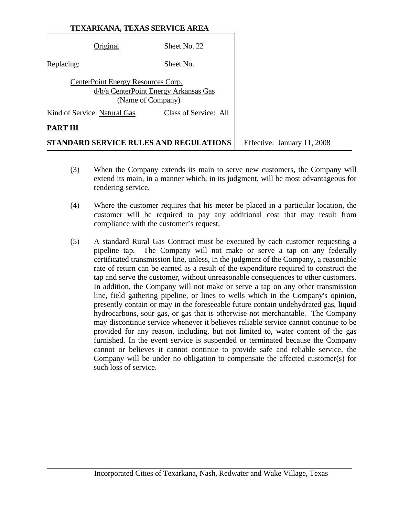| <b>TEXARKANA, TEXAS SERVICE AREA</b> |  |
|--------------------------------------|--|
|--------------------------------------|--|

|                              | d/b/a CenterPoint Energy Arkansas Gas<br>(Name of Company) |                             |
|------------------------------|------------------------------------------------------------|-----------------------------|
| Kind of Service: Natural Gas | Class of Service: All                                      |                             |
| <b>PART III</b>              |                                                            |                             |
|                              | <b>STANDARD SERVICE RULES AND REGULATIONS</b>              | Effective: January 11, 2008 |

- (3) When the Company extends its main to serve new customers, the Company will extend its main, in a manner which, in its judgment, will be most advantageous for rendering service.
- (4) Where the customer requires that his meter be placed in a particular location, the customer will be required to pay any additional cost that may result from compliance with the customer's request.
- (5) A standard Rural Gas Contract must be executed by each customer requesting a pipeline tap. The Company will not make or serve a tap on any federally certificated transmission line, unless, in the judgment of the Company, a reasonable rate of return can be earned as a result of the expenditure required to construct the tap and serve the customer, without unreasonable consequences to other customers. In addition, the Company will not make or serve a tap on any other transmission line, field gathering pipeline, or lines to wells which in the Company's opinion, presently contain or may in the foreseeable future contain undehydrated gas, liquid hydrocarbons, sour gas, or gas that is otherwise not merchantable. The Company may discontinue service whenever it believes reliable service cannot continue to be provided for any reason, including, but not limited to, water content of the gas furnished. In the event service is suspended or terminated because the Company cannot or believes it cannot continue to provide safe and reliable service, the Company will be under no obligation to compensate the affected customer(s) for such loss of service.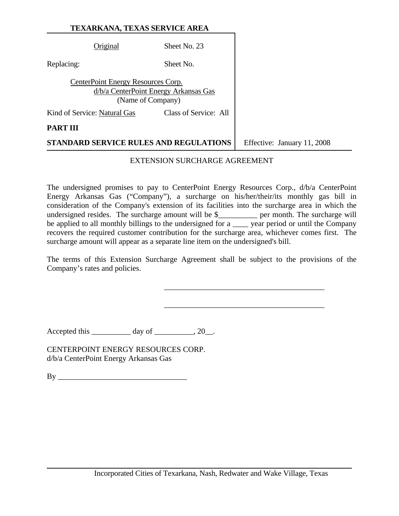|            | Original                           | Sheet No. 23                                               |                             |
|------------|------------------------------------|------------------------------------------------------------|-----------------------------|
| Replacing: |                                    | Sheet No.                                                  |                             |
|            | CenterPoint Energy Resources Corp. | d/b/a CenterPoint Energy Arkansas Gas<br>(Name of Company) |                             |
|            | Kind of Service: Natural Gas       | Class of Service: All                                      |                             |
| PART III   |                                    |                                                            |                             |
|            |                                    | STANDARD SERVICE RULES AND REGULATIONS                     | Effective: January 11, 2008 |

#### EXTENSION SURCHARGE AGREEMENT

The undersigned promises to pay to CenterPoint Energy Resources Corp., d/b/a CenterPoint Energy Arkansas Gas ("Company"), a surcharge on his/her/their/its monthly gas bill in consideration of the Company's extension of its facilities into the surcharge area in which the undersigned resides. The surcharge amount will be \$\_\_\_\_\_\_\_\_\_\_ per month. The surcharge will be applied to all monthly billings to the undersigned for a \_\_\_\_ year period or until the Company recovers the required customer contribution for the surcharge area, whichever comes first. The surcharge amount will appear as a separate line item on the undersigned's bill.

The terms of this Extension Surcharge Agreement shall be subject to the provisions of the Company's rates and policies.

 $\overline{\phantom{a}}$  , which is a set of the set of the set of the set of the set of the set of the set of the set of the set of the set of the set of the set of the set of the set of the set of the set of the set of the set of th

 $\overline{\phantom{a}}$  , which is a set of the set of the set of the set of the set of the set of the set of the set of the set of the set of the set of the set of the set of the set of the set of the set of the set of the set of th

Accepted this  $\_\_\_\_\_\_$  day of  $\_\_\_\_$ , 20 $\_\.\_\$ 

CENTERPOINT ENERGY RESOURCES CORP. d/b/a CenterPoint Energy Arkansas Gas

 $\mathbf{By}$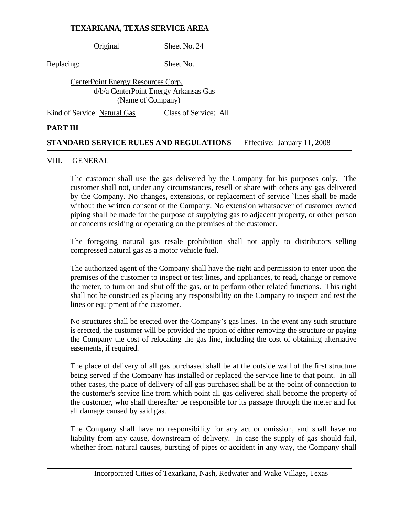|            | Original                           | Sheet No. 24                                               |                             |
|------------|------------------------------------|------------------------------------------------------------|-----------------------------|
| Replacing: |                                    | Sheet No.                                                  |                             |
|            | CenterPoint Energy Resources Corp. | d/b/a CenterPoint Energy Arkansas Gas<br>(Name of Company) |                             |
|            | Kind of Service: Natural Gas       | Class of Service: All                                      |                             |
| PART III   |                                    |                                                            |                             |
|            |                                    | STANDARD SERVICE RULES AND REGULATIONS                     | Effective: January 11, 2008 |

#### VIII. GENERAL

The customer shall use the gas delivered by the Company for his purposes only. The customer shall not, under any circumstances, resell or share with others any gas delivered by the Company. No changes**,** extensions, or replacement of service `lines shall be made without the written consent of the Company. No extension whatsoever of customer owned piping shall be made for the purpose of supplying gas to adjacent property**,** or other person or concerns residing or operating on the premises of the customer.

The foregoing natural gas resale prohibition shall not apply to distributors selling compressed natural gas as a motor vehicle fuel.

The authorized agent of the Company shall have the right and permission to enter upon the premises of the customer to inspect or test lines, and appliances, to read, change or remove the meter, to turn on and shut off the gas, or to perform other related functions. This right shall not be construed as placing any responsibility on the Company to inspect and test the lines or equipment of the customer.

No structures shall be erected over the Company's gas lines. In the event any such structure is erected, the customer will be provided the option of either removing the structure or paying the Company the cost of relocating the gas line, including the cost of obtaining alternative easements, if required.

The place of delivery of all gas purchased shall be at the outside wall of the first structure being served if the Company has installed or replaced the service line to that point. In all other cases, the place of delivery of all gas purchased shall be at the point of connection to the customer's service line from which point all gas delivered shall become the property of the customer, who shall thereafter be responsible for its passage through the meter and for all damage caused by said gas.

The Company shall have no responsibility for any act or omission, and shall have no liability from any cause, downstream of delivery. In case the supply of gas should fail, whether from natural causes, bursting of pipes or accident in any way, the Company shall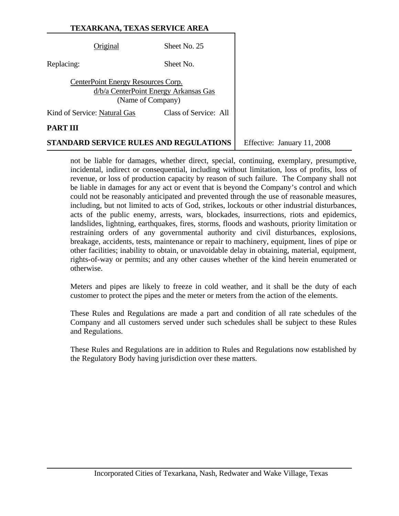| Original                           | Sheet No. 25                                               |
|------------------------------------|------------------------------------------------------------|
| Replacing:                         | Sheet No.                                                  |
| CenterPoint Energy Resources Corp. | d/b/a CenterPoint Energy Arkansas Gas<br>(Name of Company) |
| Kind of Service: Natural Gas       | Class of Service: All                                      |
| PAR'I                              |                                                            |

**STANDARD SERVICE RULES AND REGULATIONS** | Effective: January 11, 2008

not be liable for damages, whether direct, special, continuing, exemplary, presumptive, incidental, indirect or consequential, including without limitation, loss of profits, loss of revenue, or loss of production capacity by reason of such failure. The Company shall not be liable in damages for any act or event that is beyond the Company's control and which could not be reasonably anticipated and prevented through the use of reasonable measures, including, but not limited to acts of God, strikes, lockouts or other industrial disturbances, acts of the public enemy, arrests, wars, blockades, insurrections, riots and epidemics, landslides, lightning, earthquakes, fires, storms, floods and washouts, priority limitation or restraining orders of any governmental authority and civil disturbances, explosions, breakage, accidents, tests, maintenance or repair to machinery, equipment, lines of pipe or other facilities; inability to obtain, or unavoidable delay in obtaining, material, equipment, rights-of-way or permits; and any other causes whether of the kind herein enumerated or otherwise.

Meters and pipes are likely to freeze in cold weather, and it shall be the duty of each customer to protect the pipes and the meter or meters from the action of the elements.

These Rules and Regulations are made a part and condition of all rate schedules of the Company and all customers served under such schedules shall be subject to these Rules and Regulations.

These Rules and Regulations are in addition to Rules and Regulations now established by the Regulatory Body having jurisdiction over these matters.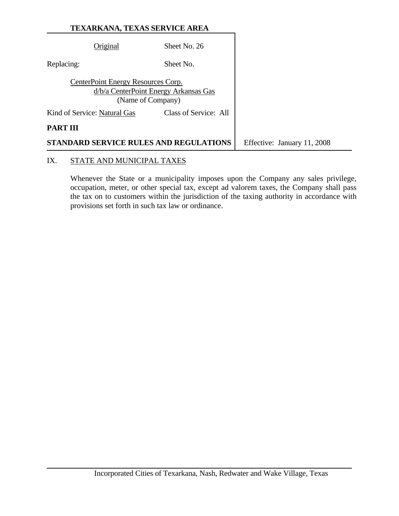|            | Original                           | Sheet No. 26                                               |                             |
|------------|------------------------------------|------------------------------------------------------------|-----------------------------|
| Replacing: |                                    | Sheet No.                                                  |                             |
|            | CenterPoint Energy Resources Corp. | d/b/a CenterPoint Energy Arkansas Gas<br>(Name of Company) |                             |
|            | Kind of Service: Natural Gas       | Class of Service: All                                      |                             |
| PART III   |                                    |                                                            |                             |
|            |                                    | STANDARD SERVICE RULES AND REGULATIONS                     | Effective: January 11, 2008 |

# IX. STATE AND MUNICIPAL TAXES

Whenever the State or a municipality imposes upon the Company any sales privilege, occupation, meter, or other special tax, except ad valorem taxes, the Company shall pass the tax on to customers within the jurisdiction of the taxing authority in accordance with provisions set forth in such tax law or ordinance.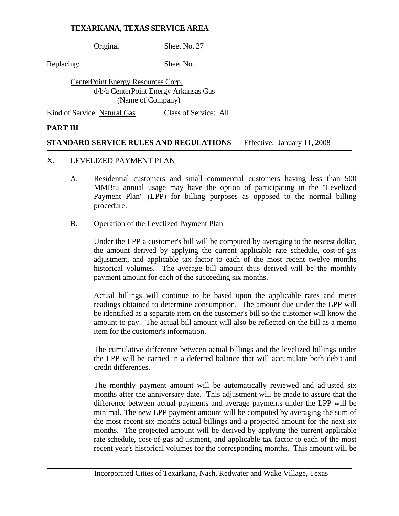Original Sheet No. 27 Replacing: Sheet No. CenterPoint Energy Resources Corp. d/b/a CenterPoint Energy Arkansas Gas (Name of Company) Kind of Service: Natural Gas Class of Service: All **PART III STANDARD SERVICE RULES AND REGULATIONS** Feffective: January 11, 2008

#### X. LEVELIZED PAYMENT PLAN

- A. Residential customers and small commercial customers having less than 500 MMBtu annual usage may have the option of participating in the "Levelized Payment Plan" (LPP) for billing purposes as opposed to the normal billing procedure.
- B. Operation of the Levelized Payment Plan

Under the LPP a customer's bill will be computed by averaging to the nearest dollar, the amount derived by applying the current applicable rate schedule, cost-of-gas adjustment, and applicable tax factor to each of the most recent twelve months historical volumes. The average bill amount thus derived will be the monthly payment amount for each of the succeeding six months.

Actual billings will continue to be based upon the applicable rates and meter readings obtained to determine consumption. The amount due under the LPP will be identified as a separate item on the customer's bill so the customer will know the amount to pay. The actual bill amount will also be reflected on the bill as a memo item for the customer's information.

The cumulative difference between actual billings and the levelized billings under the LPP will be carried in a deferred balance that will accumulate both debit and credit differences.

The monthly payment amount will be automatically reviewed and adjusted six months after the anniversary date. This adjustment will be made to assure that the difference between actual payments and average payments under the LPP will be minimal. The new LPP payment amount will be computed by averaging the sum of the most recent six months actual billings and a projected amount for the next six months. The projected amount will be derived by applying the current applicable rate schedule, cost-of-gas adjustment, and applicable tax factor to each of the most recent year's historical volumes for the corresponding months. This amount will be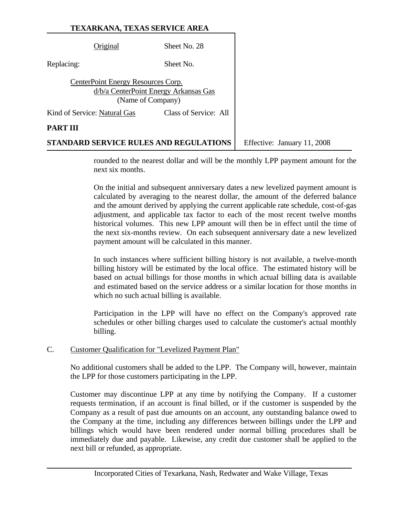|            | Original                           | Sheet No. 28                                               |                             |
|------------|------------------------------------|------------------------------------------------------------|-----------------------------|
| Replacing: |                                    | Sheet No.                                                  |                             |
|            | CenterPoint Energy Resources Corp. | d/b/a CenterPoint Energy Arkansas Gas<br>(Name of Company) |                             |
|            | Kind of Service: Natural Gas       | Class of Service: All                                      |                             |
| PART III   |                                    |                                                            |                             |
|            |                                    | STANDARD SERVICE RULES AND REGULATIONS                     | Effective: January 11, 2008 |

rounded to the nearest dollar and will be the monthly LPP payment amount for the

next six months.

On the initial and subsequent anniversary dates a new levelized payment amount is calculated by averaging to the nearest dollar, the amount of the deferred balance and the amount derived by applying the current applicable rate schedule, cost-of-gas adjustment, and applicable tax factor to each of the most recent twelve months historical volumes. This new LPP amount will then be in effect until the time of the next six-months review. On each subsequent anniversary date a new levelized payment amount will be calculated in this manner.

In such instances where sufficient billing history is not available, a twelve-month billing history will be estimated by the local office. The estimated history will be based on actual billings for those months in which actual billing data is available and estimated based on the service address or a similar location for those months in which no such actual billing is available.

Participation in the LPP will have no effect on the Company's approved rate schedules or other billing charges used to calculate the customer's actual monthly billing.

# C. Customer Qualification for "Levelized Payment Plan"

No additional customers shall be added to the LPP. The Company will, however, maintain the LPP for those customers participating in the LPP.

Customer may discontinue LPP at any time by notifying the Company. If a customer requests termination, if an account is final billed, or if the customer is suspended by the Company as a result of past due amounts on an account, any outstanding balance owed to the Company at the time, including any differences between billings under the LPP and billings which would have been rendered under normal billing procedures shall be immediately due and payable. Likewise, any credit due customer shall be applied to the next bill or refunded, as appropriate.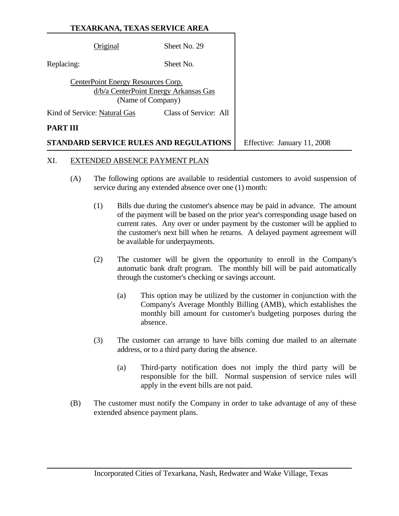|            | Original                           | Sheet No. 29                                               |                             |
|------------|------------------------------------|------------------------------------------------------------|-----------------------------|
| Replacing: |                                    | Sheet No.                                                  |                             |
|            | CenterPoint Energy Resources Corp. | d/b/a CenterPoint Energy Arkansas Gas<br>(Name of Company) |                             |
|            | Kind of Service: Natural Gas       | Class of Service: All                                      |                             |
| PART III   |                                    |                                                            |                             |
| STAN       |                                    | DARD SERVICE RULES AND REGULATIONS                         | Effective: January 11, 2008 |

### XI. EXTENDED ABSENCE PAYMENT PLAN

- (A) The following options are available to residential customers to avoid suspension of service during any extended absence over one (1) month:
	- (1) Bills due during the customer's absence may be paid in advance. The amount of the payment will be based on the prior year's corresponding usage based on current rates. Any over or under payment by the customer will be applied to the customer's next bill when he returns. A delayed payment agreement will be available for underpayments.
	- (2) The customer will be given the opportunity to enroll in the Company's automatic bank draft program. The monthly bill will be paid automatically through the customer's checking or savings account.
		- (a) This option may be utilized by the customer in conjunction with the Company's Average Monthly Billing (AMB), which establishes the monthly bill amount for customer's budgeting purposes during the absence.
	- (3) The customer can arrange to have bills coming due mailed to an alternate address, or to a third party during the absence.
		- (a) Third-party notification does not imply the third party will be responsible for the bill. Normal suspension of service rules will apply in the event bills are not paid.
- (B) The customer must notify the Company in order to take advantage of any of these extended absence payment plans.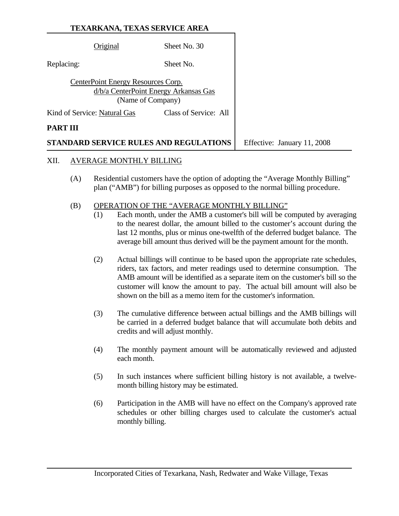|            | Original                           | Sheet No. 30                                               |                             |
|------------|------------------------------------|------------------------------------------------------------|-----------------------------|
| Replacing: |                                    | Sheet No.                                                  |                             |
|            | CenterPoint Energy Resources Corp. | d/b/a CenterPoint Energy Arkansas Gas<br>(Name of Company) |                             |
|            | Kind of Service: Natural Gas       | Class of Service: All                                      |                             |
| PART III   |                                    |                                                            |                             |
|            |                                    | STANDARD SERVICE RULES AND REGULATIONS                     | Effective: January 11, 2008 |

- XII. AVERAGE MONTHLY BILLING
	- (A) Residential customers have the option of adopting the "Average Monthly Billing" plan ("AMB") for billing purposes as opposed to the normal billing procedure.
	- (B) OPERATION OF THE "AVERAGE MONTHLY BILLING"
		- (1) Each month, under the AMB a customer's bill will be computed by averaging to the nearest dollar, the amount billed to the customer's account during the last 12 months, plus or minus one-twelfth of the deferred budget balance. The average bill amount thus derived will be the payment amount for the month.
		- (2) Actual billings will continue to be based upon the appropriate rate schedules, riders, tax factors, and meter readings used to determine consumption. The AMB amount will be identified as a separate item on the customer's bill so the customer will know the amount to pay. The actual bill amount will also be shown on the bill as a memo item for the customer's information.
		- (3) The cumulative difference between actual billings and the AMB billings will be carried in a deferred budget balance that will accumulate both debits and credits and will adjust monthly.
		- (4) The monthly payment amount will be automatically reviewed and adjusted each month.
		- (5) In such instances where sufficient billing history is not available, a twelvemonth billing history may be estimated.
		- (6) Participation in the AMB will have no effect on the Company's approved rate schedules or other billing charges used to calculate the customer's actual monthly billing.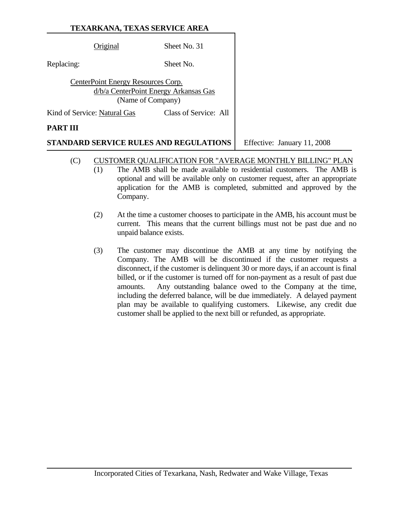Original Sheet No. 31 Replacing: Sheet No. CenterPoint Energy Resources Corp. d/b/a CenterPoint Energy Arkansas Gas (Name of Company) Kind of Service: Natural Gas Class of Service: All **PART III** 

**STANDARD SERVICE RULES AND REGULATIONS** Feffective: January 11, 2008

- (C) CUSTOMER QUALIFICATION FOR "AVERAGE MONTHLY BILLING" PLAN
	- (1) The AMB shall be made available to residential customers. The AMB is optional and will be available only on customer request, after an appropriate application for the AMB is completed, submitted and approved by the Company.
	- (2) At the time a customer chooses to participate in the AMB, his account must be current. This means that the current billings must not be past due and no unpaid balance exists.
	- (3) The customer may discontinue the AMB at any time by notifying the Company. The AMB will be discontinued if the customer requests a disconnect, if the customer is delinquent 30 or more days, if an account is final billed, or if the customer is turned off for non-payment as a result of past due amounts. Any outstanding balance owed to the Company at the time, including the deferred balance, will be due immediately. A delayed payment plan may be available to qualifying customers. Likewise, any credit due customer shall be applied to the next bill or refunded, as appropriate.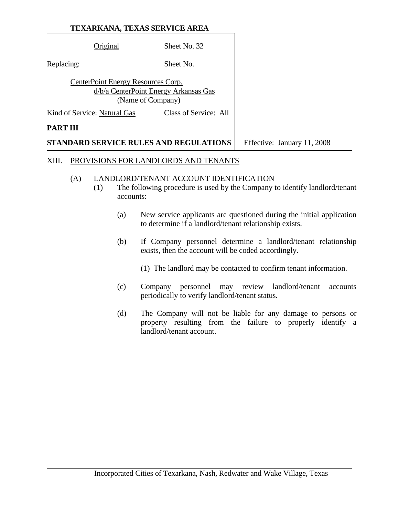|                 | Original                           | Sheet No. 32                                               |                             |
|-----------------|------------------------------------|------------------------------------------------------------|-----------------------------|
| Replacing:      |                                    | Sheet No.                                                  |                             |
|                 | CenterPoint Energy Resources Corp. | d/b/a CenterPoint Energy Arkansas Gas<br>(Name of Company) |                             |
|                 | Kind of Service: Natural Gas       | Class of Service: All                                      |                             |
| <b>PART III</b> |                                    |                                                            |                             |
|                 |                                    | <b>STANDARD SERVICE RULES AND REGULATIONS</b>              | Effective: January 11, 2008 |

#### XIII. PROVISIONS FOR LANDLORDS AND TENANTS

#### (A) LANDLORD/TENANT ACCOUNT IDENTIFICATION

- $\overline{(1)}$  The following procedure is used by the Company to identify landlord/tenant accounts:
	- (a) New service applicants are questioned during the initial application to determine if a landlord/tenant relationship exists.
	- (b) If Company personnel determine a landlord/tenant relationship exists, then the account will be coded accordingly.
		- (1) The landlord may be contacted to confirm tenant information.
	- (c) Company personnel may review landlord/tenant accounts periodically to verify landlord/tenant status.
	- (d) The Company will not be liable for any damage to persons or property resulting from the failure to properly identify a landlord/tenant account.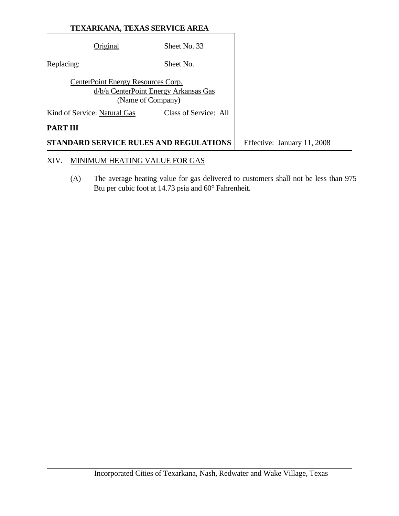|                 | <b>TEXARKANA, TEXAS SERVICE AREA</b> |                                                            |                             |
|-----------------|--------------------------------------|------------------------------------------------------------|-----------------------------|
|                 | Original                             | Sheet No. 33                                               |                             |
| Replacing:      |                                      | Sheet No.                                                  |                             |
|                 | CenterPoint Energy Resources Corp.   | d/b/a CenterPoint Energy Arkansas Gas<br>(Name of Company) |                             |
|                 | Kind of Service: Natural Gas         | Class of Service: All                                      |                             |
| <b>PART III</b> |                                      |                                                            |                             |
|                 |                                      | <b>STANDARD SERVICE RULES AND REGULATIONS</b>              | Effective: January 11, 2008 |
| XIV.            | NIMUM HEATING VALUE FOR GAS          |                                                            |                             |

 (A) The average heating value for gas delivered to customers shall not be less than 975 Btu per cubic foot at 14.73 psia and 60° Fahrenheit.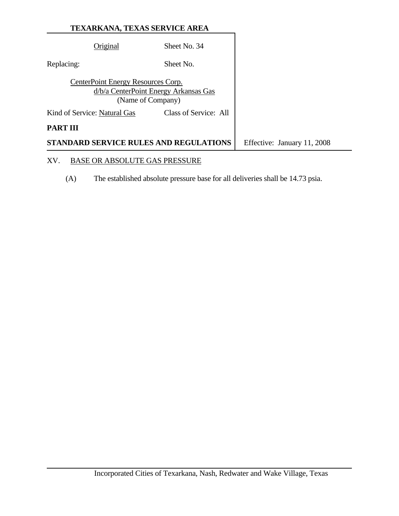|                                    | <b>STANDARD SERVICE RULES AND REGULATIONS</b>              | Effective: January 11, 2008 |
|------------------------------------|------------------------------------------------------------|-----------------------------|
| <b>PART III</b>                    |                                                            |                             |
| Kind of Service: Natural Gas       | Class of Service: All                                      |                             |
| CenterPoint Energy Resources Corp. | d/b/a CenterPoint Energy Arkansas Gas<br>(Name of Company) |                             |
| Replacing:                         | Sheet No.                                                  |                             |
| .)riginal                          | Sheet No. 34                                               |                             |
|                                    |                                                            |                             |

# XV. BASE OR ABSOLUTE GAS PRESSURE

(A) The established absolute pressure base for all deliveries shall be 14.73 psia.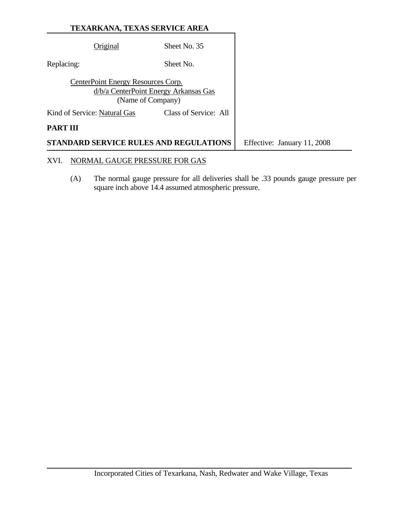|                 | TEXARKANA, TEXAS SERVICE AREA      |                                                            |                             |
|-----------------|------------------------------------|------------------------------------------------------------|-----------------------------|
|                 | Original                           | Sheet No. 35                                               |                             |
| Replacing:      |                                    | Sheet No.                                                  |                             |
|                 | CenterPoint Energy Resources Corp. | d/b/a CenterPoint Energy Arkansas Gas<br>(Name of Company) |                             |
|                 | Kind of Service: Natural Gas       | Class of Service: All                                      |                             |
| <b>PART III</b> |                                    |                                                            |                             |
|                 |                                    | <b>STANDARD SERVICE RULES AND REGULATIONS</b>              | Effective: January 11, 2008 |
| XVI.            | NORMAL GAUGE PRESSURE FOR GAS      |                                                            |                             |

 (A) The normal gauge pressure for all deliveries shall be .33 pounds gauge pressure per square inch above 14.4 assumed atmospheric pressure.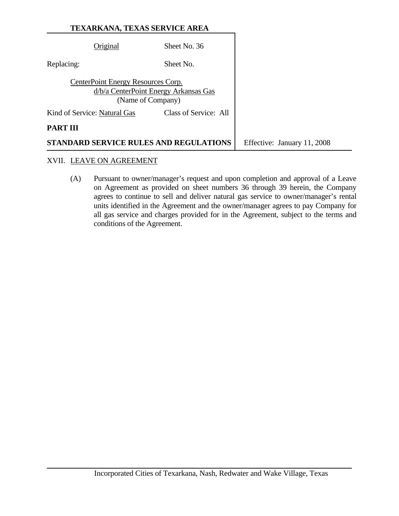| <b>TEXARKANA, TEXAS SERVICE AREA</b> |  |
|--------------------------------------|--|
|--------------------------------------|--|

| Original                     | Sheet No. 36                           |                             |
|------------------------------|----------------------------------------|-----------------------------|
|                              |                                        |                             |
| Replacing:                   | Sheet No.                              |                             |
|                              |                                        |                             |
|                              | CenterPoint Energy Resources Corp.     |                             |
|                              | d/b/a CenterPoint Energy Arkansas Gas  |                             |
|                              |                                        |                             |
|                              | (Name of Company)                      |                             |
| Kind of Service: Natural Gas | Class of Service: All                  |                             |
|                              |                                        |                             |
| PART III                     |                                        |                             |
|                              | STANDARD SERVICE RULES AND REGULATIONS | Effective: January 11, 2008 |

#### XVII. LEAVE ON AGREEMENT

 (A) Pursuant to owner/manager's request and upon completion and approval of a Leave on Agreement as provided on sheet numbers 36 through 39 herein, the Company agrees to continue to sell and deliver natural gas service to owner/manager's rental units identified in the Agreement and the owner/manager agrees to pay Company for all gas service and charges provided for in the Agreement, subject to the terms and conditions of the Agreement.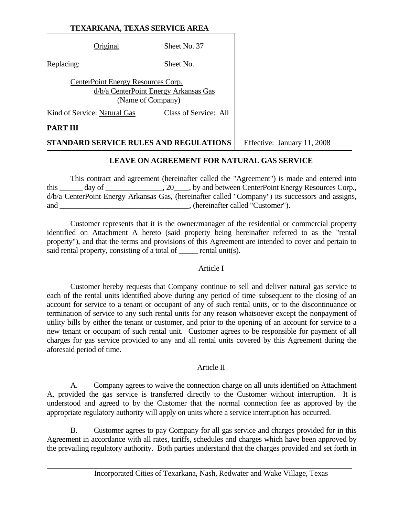Original Sheet No. 37

Replacing: Sheet No.

CenterPoint Energy Resources Corp. d/b/a CenterPoint Energy Arkansas Gas (Name of Company)

Kind of Service: Natural Gas Class of Service: All

### **PART III**

**STANDARD SERVICE RULES AND REGULATIONS** Feffective: January 11, 2008

## **LEAVE ON AGREEMENT FOR NATURAL GAS SERVICE**

 This contract and agreement (hereinafter called the "Agreement") is made and entered into this \_\_\_\_\_\_ day of \_\_\_\_\_\_\_\_\_\_\_\_, 20\_\_\_\_, by and between CenterPoint Energy Resources Corp., d/b/a CenterPoint Energy Arkansas Gas, (hereinafter called "Company") its successors and assigns, and  $\blacksquare$ , (hereinafter called "Customer").

 Customer represents that it is the owner/manager of the residential or commercial property identified on Attachment A hereto (said property being hereinafter referred to as the "rental property"), and that the terms and provisions of this Agreement are intended to cover and pertain to said rental property, consisting of a total of <u>equal times</u>.

#### Article I

 Customer hereby requests that Company continue to sell and deliver natural gas service to each of the rental units identified above during any period of time subsequent to the closing of an account for service to a tenant or occupant of any of such rental units, or to the discontinuance or termination of service to any such rental units for any reason whatsoever except the nonpayment of utility bills by either the tenant or customer, and prior to the opening of an account for service to a new tenant or occupant of such rental unit. Customer agrees to be responsible for payment of all charges for gas service provided to any and all rental units covered by this Agreement during the aforesaid period of time.

#### Article II

 A. Company agrees to waive the connection charge on all units identified on Attachment A, provided the gas service is transferred directly to the Customer without interruption. It is understood and agreed to by the Customer that the normal connection fee as approved by the appropriate regulatory authority will apply on units where a service interruption has occurred.

 B. Customer agrees to pay Company for all gas service and charges provided for in this Agreement in accordance with all rates, tariffs, schedules and charges which have been approved by the prevailing regulatory authority. Both parties understand that the charges provided and set forth in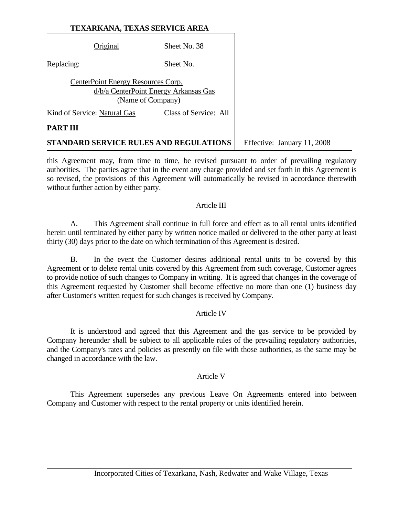|                 | Original                           | Sheet No. 38                                               |                             |
|-----------------|------------------------------------|------------------------------------------------------------|-----------------------------|
| Replacing:      |                                    | Sheet No.                                                  |                             |
|                 | CenterPoint Energy Resources Corp. | d/b/a CenterPoint Energy Arkansas Gas<br>(Name of Company) |                             |
|                 | Kind of Service: Natural Gas       | Class of Service: All                                      |                             |
| <b>PART III</b> |                                    |                                                            |                             |
|                 |                                    | STANDARD SERVICE RULES AND REGULATIONS                     | Effective: January 11, 2008 |

this Agreement may, from time to time, be revised pursuant to order of prevailing regulatory authorities. The parties agree that in the event any charge provided and set forth in this Agreement is so revised, the provisions of this Agreement will automatically be revised in accordance therewith without further action by either party.

#### Article III

 A. This Agreement shall continue in full force and effect as to all rental units identified herein until terminated by either party by written notice mailed or delivered to the other party at least thirty (30) days prior to the date on which termination of this Agreement is desired.

 B. In the event the Customer desires additional rental units to be covered by this Agreement or to delete rental units covered by this Agreement from such coverage, Customer agrees to provide notice of such changes to Company in writing. It is agreed that changes in the coverage of this Agreement requested by Customer shall become effective no more than one (1) business day after Customer's written request for such changes is received by Company.

#### Article IV

 It is understood and agreed that this Agreement and the gas service to be provided by Company hereunder shall be subject to all applicable rules of the prevailing regulatory authorities, and the Company's rates and policies as presently on file with those authorities, as the same may be changed in accordance with the law.

#### Article V

 This Agreement supersedes any previous Leave On Agreements entered into between Company and Customer with respect to the rental property or units identified herein.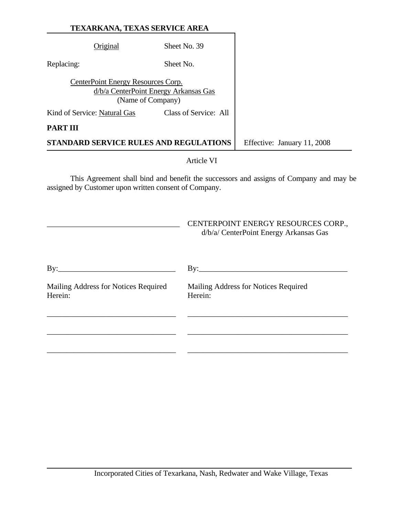|                 | TEXARKANA, TEXAS SERVICE AREA                           |                                               |                             |
|-----------------|---------------------------------------------------------|-----------------------------------------------|-----------------------------|
|                 | Original                                                | Sheet No. 39                                  |                             |
| Replacing:      |                                                         | Sheet No.                                     |                             |
|                 | CenterPoint Energy Resources Corp.<br>(Name of Company) | d/b/a CenterPoint Energy Arkansas Gas         |                             |
|                 | Kind of Service: Natural Gas                            | Class of Service: All                         |                             |
| <b>PART III</b> |                                                         |                                               |                             |
|                 |                                                         | <b>STANDARD SERVICE RULES AND REGULATIONS</b> | Effective: January 11, 2008 |

Article VI

 This Agreement shall bind and benefit the successors and assigns of Company and may be assigned by Customer upon written consent of Company.

|                                                 | CENTERPOINT ENERGY RESOURCES CORP.,<br>d/b/a/ CenterPoint Energy Arkansas Gas |
|-------------------------------------------------|-------------------------------------------------------------------------------|
| $By:\_\_\_\_\_\_\_\_\_\_\_\_$                   | $\mathbf{By:}\_\_\_\_\_\_\_\_$                                                |
| Mailing Address for Notices Required<br>Herein: | Mailing Address for Notices Required<br>Herein:                               |
|                                                 |                                                                               |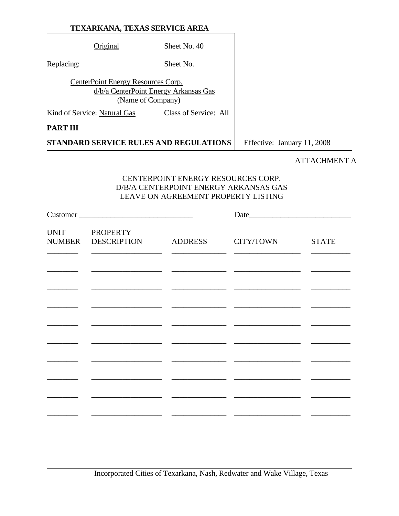|                 | Original                                                | Sheet No. 40                                  |                             |
|-----------------|---------------------------------------------------------|-----------------------------------------------|-----------------------------|
| Replacing:      |                                                         | Sheet No.                                     |                             |
|                 | CenterPoint Energy Resources Corp.<br>(Name of Company) | d/b/a CenterPoint Energy Arkansas Gas         |                             |
|                 | Kind of Service: Natural Gas                            | Class of Service: All                         |                             |
| <b>PART III</b> |                                                         |                                               |                             |
|                 |                                                         | <b>STANDARD SERVICE RULES AND REGULATIONS</b> | Effective: January 11, 2008 |

# ATTACHMENT A

# CENTERPOINT ENERGY RESOURCES CORP. D/B/A CENTERPOINT ENERGY ARKANSAS GAS LEAVE ON AGREEMENT PROPERTY LISTING

| Customer                                    |           |              |
|---------------------------------------------|-----------|--------------|
| UNIT PROPERTY<br>NUMBER DESCRIPTION ADDRESS | CITY/TOWN | <b>STATE</b> |
|                                             |           |              |
|                                             |           |              |
|                                             |           |              |
|                                             |           |              |
|                                             |           |              |
|                                             |           |              |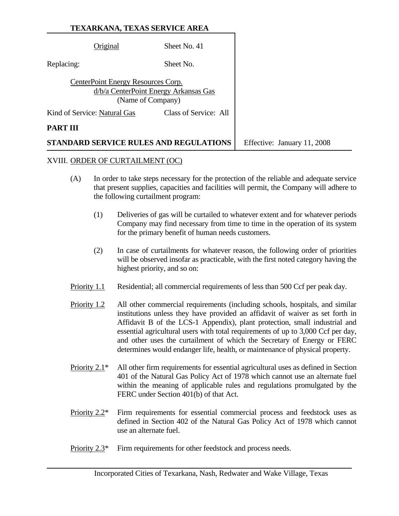|            | Original                           | Sheet No. 41                                               |                             |
|------------|------------------------------------|------------------------------------------------------------|-----------------------------|
| Replacing: |                                    | Sheet No.                                                  |                             |
|            | CenterPoint Energy Resources Corp. | d/b/a CenterPoint Energy Arkansas Gas<br>(Name of Company) |                             |
|            | Kind of Service: Natural Gas       | Class of Service: All                                      |                             |
| PART III   |                                    |                                                            |                             |
|            |                                    | STANDARD SERVICE RULES AND REGULATIONS                     | Effective: January 11, 2008 |

#### XVIII. ORDER OF CURTAILMENT (OC)

- (A) In order to take steps necessary for the protection of the reliable and adequate service that present supplies, capacities and facilities will permit, the Company will adhere to the following curtailment program:
	- (1) Deliveries of gas will be curtailed to whatever extent and for whatever periods Company may find necessary from time to time in the operation of its system for the primary benefit of human needs customers.
	- (2) In case of curtailments for whatever reason, the following order of priorities will be observed insofar as practicable, with the first noted category having the highest priority, and so on:
- Priority 1.1 Residential; all commercial requirements of less than 500 Ccf per peak day.
- Priority 1.2 All other commercial requirements (including schools, hospitals, and similar institutions unless they have provided an affidavit of waiver as set forth in Affidavit B of the LCS-1 Appendix), plant protection, small industrial and essential agricultural users with total requirements of up to 3,000 Ccf per day, and other uses the curtailment of which the Secretary of Energy or FERC determines would endanger life, health, or maintenance of physical property.
- Priority 2.1\* All other firm requirements for essential agricultural uses as defined in Section 401 of the Natural Gas Policy Act of 1978 which cannot use an alternate fuel within the meaning of applicable rules and regulations promulgated by the FERC under Section 401(b) of that Act.
- Priority 2.2\* Firm requirements for essential commercial process and feedstock uses as defined in Section 402 of the Natural Gas Policy Act of 1978 which cannot use an alternate fuel.
- Priority 2.3<sup>\*</sup> Firm requirements for other feedstock and process needs.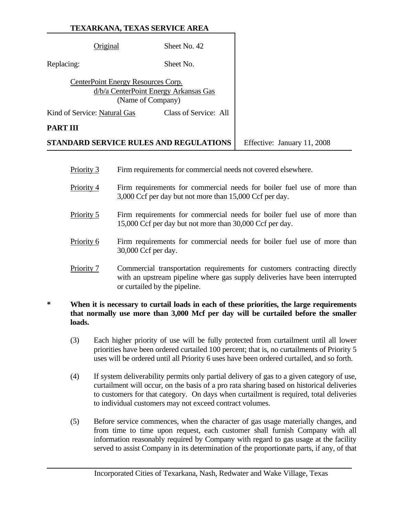|                 | Original                                                                                         | Sheet No. 42                                  |                             |
|-----------------|--------------------------------------------------------------------------------------------------|-----------------------------------------------|-----------------------------|
| Replacing:      |                                                                                                  | Sheet No.                                     |                             |
|                 | CenterPoint Energy Resources Corp.<br>d/b/a CenterPoint Energy Arkansas Gas<br>(Name of Company) |                                               |                             |
|                 | Kind of Service: Natural Gas                                                                     | Class of Service: All                         |                             |
| <b>PART III</b> |                                                                                                  |                                               |                             |
|                 |                                                                                                  | <b>STANDARD SERVICE RULES AND REGULATIONS</b> | Effective: January 11, 2008 |

- Priority 3 Firm requirements for commercial needs not covered elsewhere.
- Priority 4 Firm requirements for commercial needs for boiler fuel use of more than 3,000 Ccf per day but not more than 15,000 Ccf per day.
- Priority 5 Firm requirements for commercial needs for boiler fuel use of more than 15,000 Ccf per day but not more than 30,000 Ccf per day.
- Priority 6 Firm requirements for commercial needs for boiler fuel use of more than 30,000 Ccf per day.
- Priority 7 Commercial transportation requirements for customers contracting directly with an upstream pipeline where gas supply deliveries have been interrupted or curtailed by the pipeline.

# **\* When it is necessary to curtail loads in each of these priorities, the large requirements that normally use more than 3,000 Mcf per day will be curtailed before the smaller loads.**

- (3) Each higher priority of use will be fully protected from curtailment until all lower priorities have been ordered curtailed 100 percent; that is, no curtailments of Priority 5 uses will be ordered until all Priority 6 uses have been ordered curtailed, and so forth.
- (4) If system deliverability permits only partial delivery of gas to a given category of use, curtailment will occur, on the basis of a pro rata sharing based on historical deliveries to customers for that category. On days when curtailment is required, total deliveries to individual customers may not exceed contract volumes.
- (5) Before service commences, when the character of gas usage materially changes, and from time to time upon request, each customer shall furnish Company with all information reasonably required by Company with regard to gas usage at the facility served to assist Company in its determination of the proportionate parts, if any, of that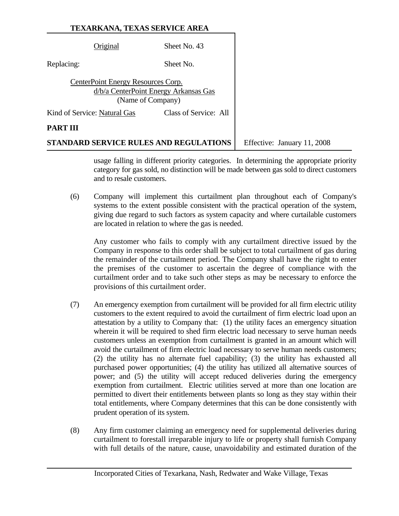| Original                               | Sheet No. 43                                               |               |
|----------------------------------------|------------------------------------------------------------|---------------|
| Replacing:                             | Sheet No.                                                  |               |
| CenterPoint Energy Resources Corp.     | d/b/a CenterPoint Energy Arkansas Gas<br>(Name of Company) |               |
| Kind of Service: Natural Gas           | Class of Service: All                                      |               |
| PART III                               |                                                            |               |
| STANDARD SERVICE RULES AND REGULATIONS |                                                            | Effective: Ja |

**STANDARD SERVICE SERVICE SERVICE** 

usage falling in different priority categories. In determining the appropriate priority category for gas sold, no distinction will be made between gas sold to direct customers and to resale customers.

 (6) Company will implement this curtailment plan throughout each of Company's systems to the extent possible consistent with the practical operation of the system, giving due regard to such factors as system capacity and where curtailable customers are located in relation to where the gas is needed.

 Any customer who fails to comply with any curtailment directive issued by the Company in response to this order shall be subject to total curtailment of gas during the remainder of the curtailment period. The Company shall have the right to enter the premises of the customer to ascertain the degree of compliance with the curtailment order and to take such other steps as may be necessary to enforce the provisions of this curtailment order.

- (7) An emergency exemption from curtailment will be provided for all firm electric utility customers to the extent required to avoid the curtailment of firm electric load upon an attestation by a utility to Company that: (1) the utility faces an emergency situation wherein it will be required to shed firm electric load necessary to serve human needs customers unless an exemption from curtailment is granted in an amount which will avoid the curtailment of firm electric load necessary to serve human needs customers; (2) the utility has no alternate fuel capability; (3) the utility has exhausted all purchased power opportunities; (4) the utility has utilized all alternative sources of power; and (5) the utility will accept reduced deliveries during the emergency exemption from curtailment. Electric utilities served at more than one location are permitted to divert their entitlements between plants so long as they stay within their total entitlements, where Company determines that this can be done consistently with prudent operation of its system.
- (8) Any firm customer claiming an emergency need for supplemental deliveries during curtailment to forestall irreparable injury to life or property shall furnish Company with full details of the nature, cause, unavoidability and estimated duration of the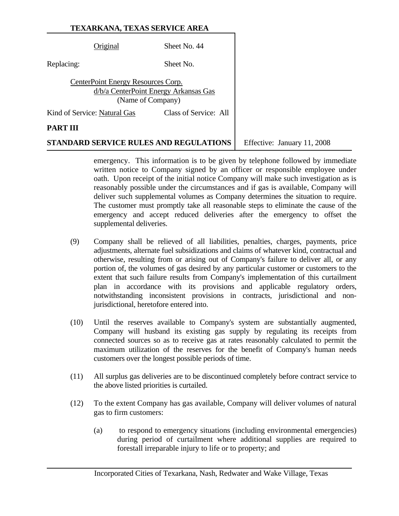| Original                           | Sheet No. 44                                               |
|------------------------------------|------------------------------------------------------------|
| Replacing:                         | Sheet No.                                                  |
| CenterPoint Energy Resources Corp. | d/b/a CenterPoint Energy Arkansas Gas<br>(Name of Company) |
| Kind of Service: Natural Gas       | Class of Service: All                                      |
| PAR'I                              |                                                            |

**STANDARD SERVICE RULES AND REGULATIONS** Feffective: January 11, 2008

emergency. This information is to be given by telephone followed by immediate written notice to Company signed by an officer or responsible employee under oath. Upon receipt of the initial notice Company will make such investigation as is reasonably possible under the circumstances and if gas is available, Company will deliver such supplemental volumes as Company determines the situation to require. The customer must promptly take all reasonable steps to eliminate the cause of the emergency and accept reduced deliveries after the emergency to offset the supplemental deliveries.

- (9) Company shall be relieved of all liabilities, penalties, charges, payments, price adjustments, alternate fuel subsidizations and claims of whatever kind, contractual and otherwise, resulting from or arising out of Company's failure to deliver all, or any portion of, the volumes of gas desired by any particular customer or customers to the extent that such failure results from Company's implementation of this curtailment plan in accordance with its provisions and applicable regulatory orders, notwithstanding inconsistent provisions in contracts, jurisdictional and nonjurisdictional, heretofore entered into.
- (10) Until the reserves available to Company's system are substantially augmented, Company will husband its existing gas supply by regulating its receipts from connected sources so as to receive gas at rates reasonably calculated to permit the maximum utilization of the reserves for the benefit of Company's human needs customers over the longest possible periods of time.
- (11) All surplus gas deliveries are to be discontinued completely before contract service to the above listed priorities is curtailed.
- (12) To the extent Company has gas available, Company will deliver volumes of natural gas to firm customers:
	- (a) to respond to emergency situations (including environmental emergencies) during period of curtailment where additional supplies are required to forestall irreparable injury to life or to property; and